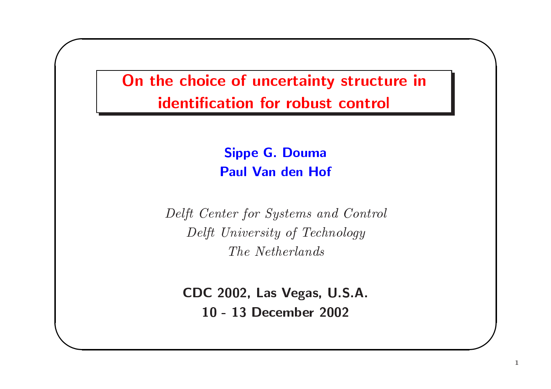On the choice of uncertainty structure in identification for robust control

> **Sippe G. Douma Paul Van den Hof**

Delft Center for Systems and Control Delft University of Technology The Netherlands

CDC 2002, Las Vegas, U.S.A. 10 - 13 December 2002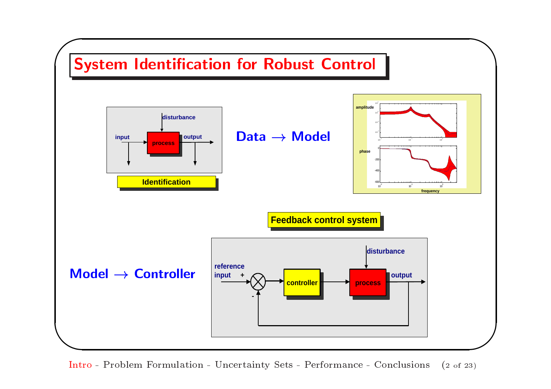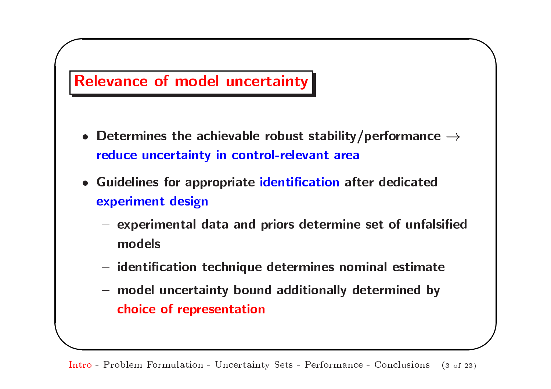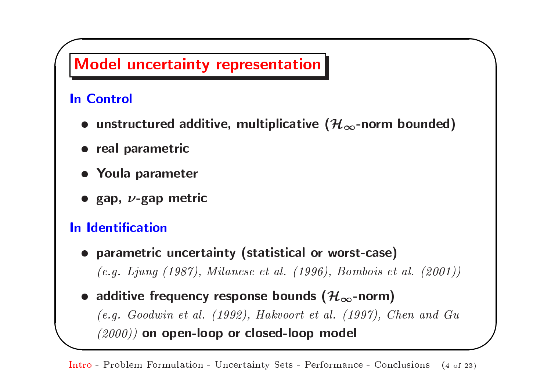

• additive frequency response bounds ( $\mathcal{H}_{\infty}$ -norm)  $(e.g. Goodwin et al. (1992), Hakvoort et al. (1997), Chen and Gu$ (2000)) on open-loop or closed-loop model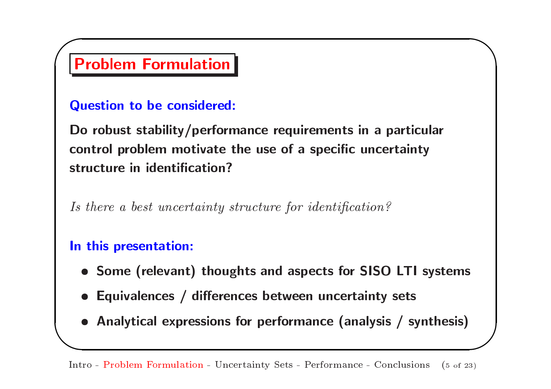### **Problem Formulation**

### **Question to be considered:**

Do robust stability/performance requirements in a particular control problem motivate the use of a specific uncertainty structure in identification?

Is there a best uncertainty structure for identification?

#### In this presentation:

- Some (relevant) thoughts and aspects for SISO LTI systems
- Equivalences / differences between uncertainty sets
- Analytical expressions for performance (analysis / synthesis)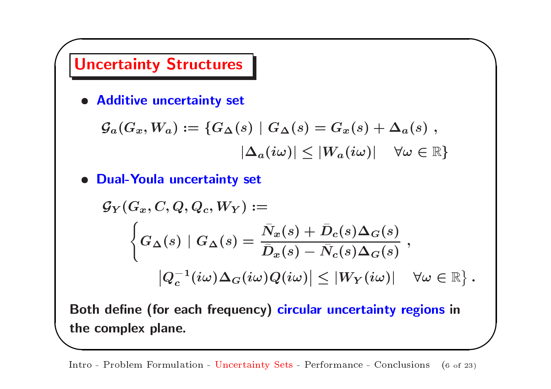

· Additive uncertainty set

$$
\begin{aligned} \mathcal{G}_a (G_x, W_a) &:= \{ G_\Delta(s) \mid G_\Delta(s) = G_x(s) + \Delta_a(s) \; , \\ & \mid \! \Delta_a(i\omega) \! \mid \leq \lvert W_a(i\omega) \rvert \quad \forall \omega \in \mathbb{R} \} \end{aligned}
$$

· Dual-Youla uncertainty set

$$
\mathcal{G}_Y(G_x, C, Q, Q_c, W_Y) :=
$$
\n
$$
\left\{ G_{\Delta}(s) \mid G_{\Delta}(s) = \frac{\bar{N}_x(s) + \bar{D}_c(s)\Delta_G(s)}{\bar{D}_x(s) - \bar{N}_c(s)\Delta_G(s)} \right\},
$$
\n
$$
|Q_c^{-1}(i\omega)\Delta_G(i\omega)Q(i\omega)| \le |W_Y(i\omega)| \quad \forall \omega \in \mathbb{R} \right\}.
$$

Both define (for each frequency) circular uncertainty regions in the complex plane.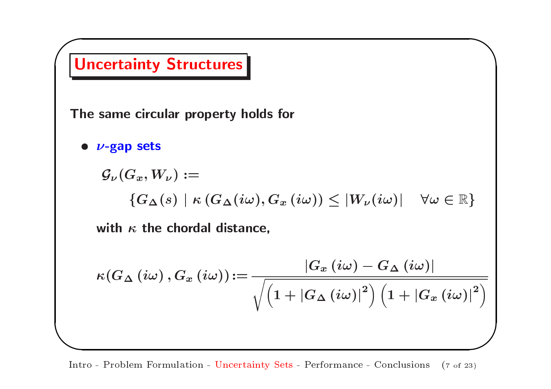

Intro - Problem Formulation - Uncertainty Sets - Performance - Conclusions  $(7 \text{ of } 23)$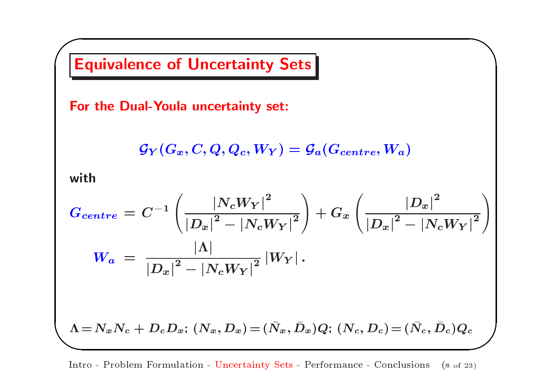

Intro - Problem Formulation - Uncertainty Sets - Performance - Conclusions (8 of 23)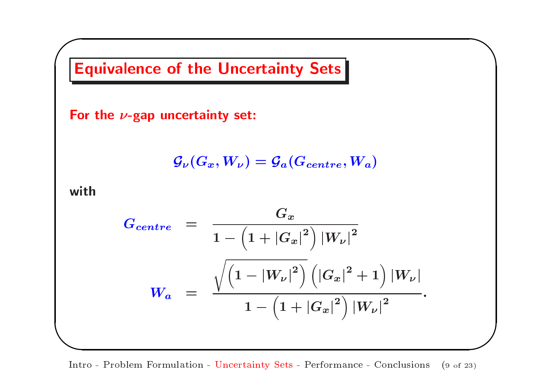

Intro - Problem Formulation - Uncertainty Sets - Performance - Conclusions  $(9 \text{ of } 23)$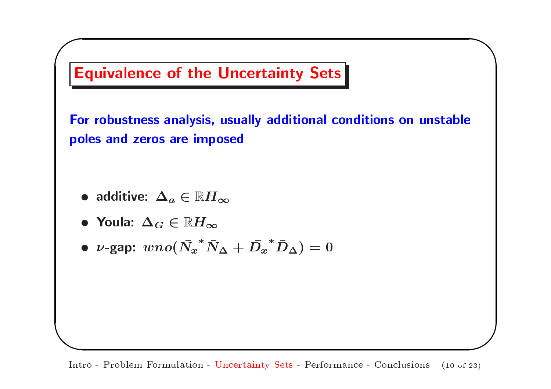

Intro - Problem Formulation - Uncertainty Sets - Performance - Conclusions  $(10 \text{ of } 23)$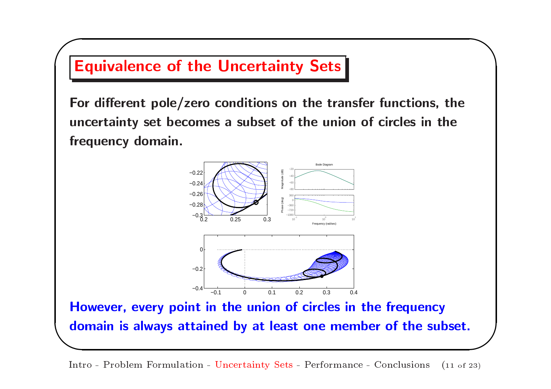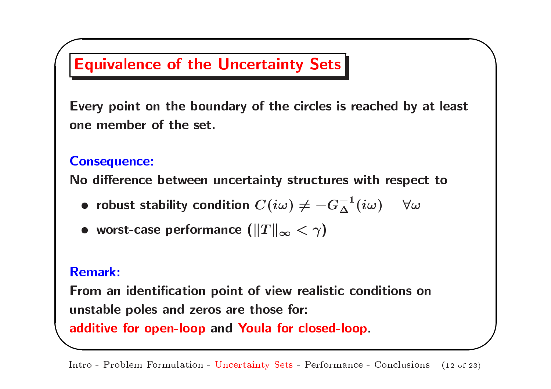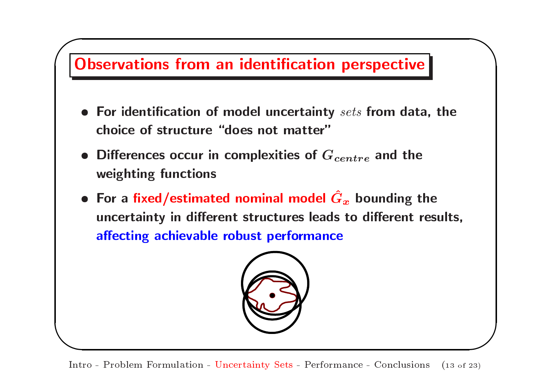

Intro - Problem Formulation - Uncertainty Sets - Performance - Conclusions  $(13 \text{ of } 23)$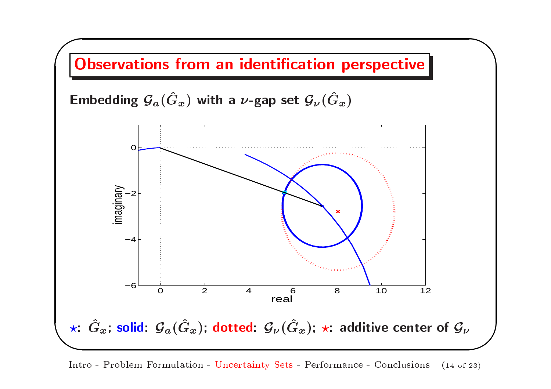

Intro - Problem Formulation - Uncertainty Sets - Performance - Conclusions  $(14 \text{ of } 23)$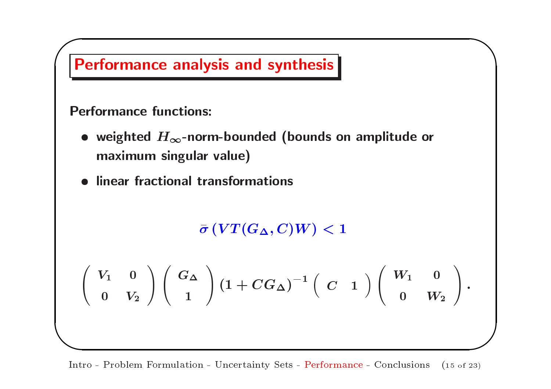

Intro - Problem Formulation - Uncertainty Sets - Performance - Conclusions  $(15 \text{ of } 23)$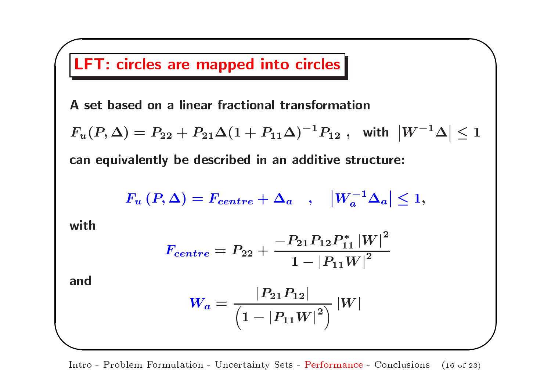

Intro - Problem Formulation - Uncertainty Sets - Performance - Conclusions (16 of 23)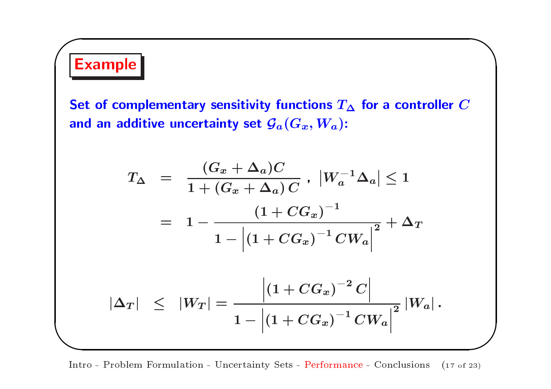# **Example**

Set of complementary sensitivity functions  $T_{\Delta}$  for a controller C and an additive uncertainty set  $\mathcal{G}_a(G_x,W_a)$ :

$$
T_{\Delta} = \frac{(G_x + \Delta_a)C}{1 + (G_x + \Delta_a) C}, \ |W_a^{-1}\Delta_a| \le 1
$$
  
= 
$$
1 - \frac{(1 + CG_x)^{-1}}{1 - |(1 + CG_x)^{-1} CW_a|^2} + \Delta_T
$$
  

$$
|\Delta_T| \le |W_T| = \frac{\left|(1 + CG_x)^{-2} C\right|}{1 - |(1 + CG_x)^{-1} CW_a|^2} |W_a|.
$$

Intro - Problem Formulation - Uncertainty Sets - Performance - Conclusions (17 of 23)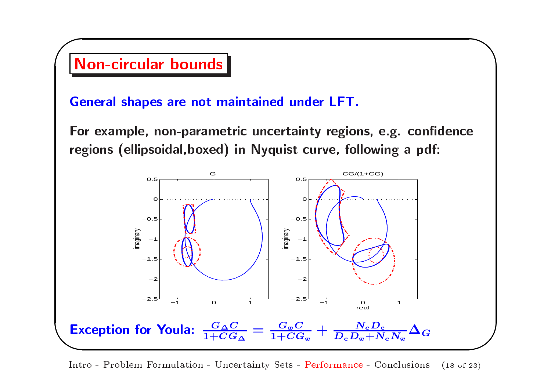

Intro - Problem Formulation - Uncertainty Sets - Performance - Conclusions  $(18 \text{ of } 23)$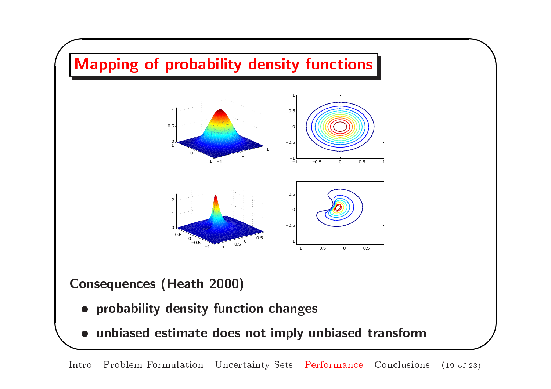

Intro - Problem Formulation - Uncertainty Sets - Performance - Conclusions  $(19 \text{ of } 23)$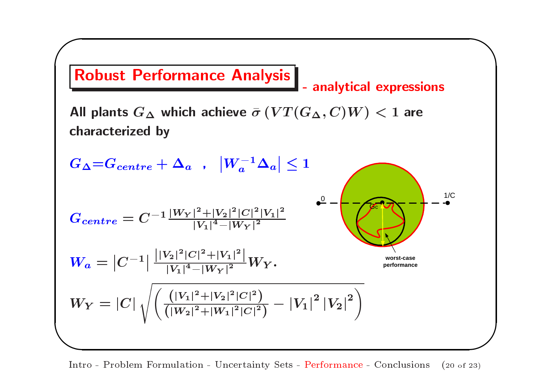

Intro - Problem Formulation - Uncertainty Sets - Performance - Conclusions  $(20 \text{ of } 23)$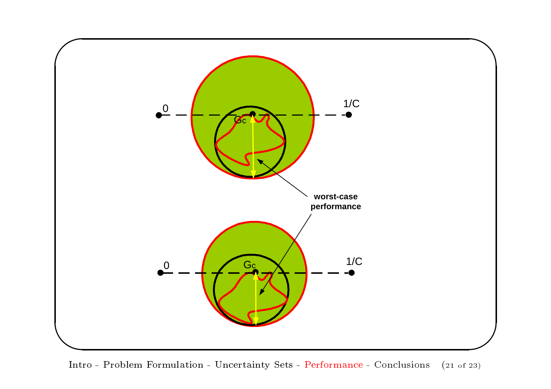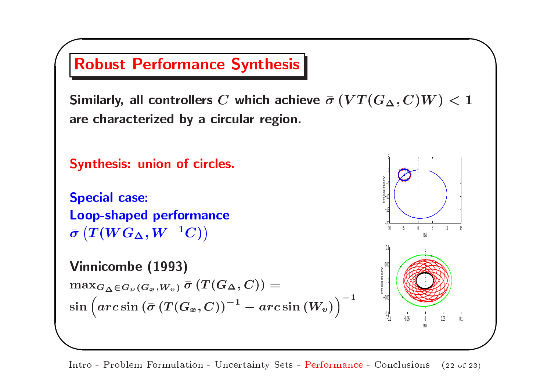